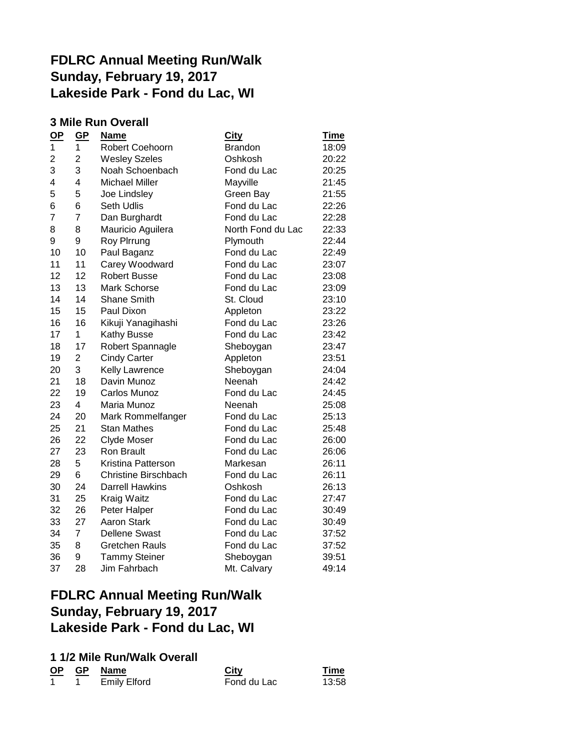## **FDLRC Annual Meeting Run/Walk Sunday, February 19, 2017 Lakeside Park - Fond du Lac, WI**

## **3 Mile Run Overall**

| $\frac{OP}{1}$ | $\underline{\textsf{GP}}$ | <b>Name</b>                 | <b>City</b>       | <u>Time</u> |
|----------------|---------------------------|-----------------------------|-------------------|-------------|
|                | $\mathbf 1$               | Robert Coehoorn             | <b>Brandon</b>    | 18:09       |
| $\overline{c}$ | 2                         | <b>Wesley Szeles</b>        | Oshkosh           | 20:22       |
| 3              | 3                         | Noah Schoenbach             | Fond du Lac       | 20:25       |
| 4              | 4                         | <b>Michael Miller</b>       | Mayville          | 21:45       |
| 5              | 5                         | Joe Lindsley                | Green Bay         | 21:55       |
| 6              | 6                         | Seth Udlis                  | Fond du Lac       | 22:26       |
| 7              | $\overline{7}$            | Dan Burghardt               | Fond du Lac       | 22:28       |
| 8              | 8                         | Mauricio Aguilera           | North Fond du Lac | 22:33       |
| 9              | 9                         | Roy Pirrung                 | Plymouth          | 22:44       |
| 10             | 10                        | Paul Baganz                 | Fond du Lac       | 22:49       |
| 11             | 11                        | Carey Woodward              | Fond du Lac       | 23:07       |
| 12             | 12                        | <b>Robert Busse</b>         | Fond du Lac       | 23:08       |
| 13             | 13                        | Mark Schorse                | Fond du Lac       | 23:09       |
| 14             | 14                        | <b>Shane Smith</b>          | St. Cloud         | 23:10       |
| 15             | 15                        | Paul Dixon                  | Appleton          | 23:22       |
| 16             | 16                        | Kikuji Yanagihashi          | Fond du Lac       | 23:26       |
| 17             | 1                         | <b>Kathy Busse</b>          | Fond du Lac       | 23:42       |
| 18             | 17                        | Robert Spannagle            | Sheboygan         | 23:47       |
| 19             | 2                         | <b>Cindy Carter</b>         | Appleton          | 23:51       |
| 20             | 3                         | Kelly Lawrence              | Sheboygan         | 24:04       |
| 21             | 18                        | Davin Munoz                 | Neenah            | 24:42       |
| 22             | 19                        | Carlos Munoz                | Fond du Lac       | 24:45       |
| 23             | $\overline{4}$            | Maria Munoz                 | Neenah            | 25:08       |
| 24             | 20                        | Mark Rommelfanger           | Fond du Lac       | 25:13       |
| 25             | 21                        | <b>Stan Mathes</b>          | Fond du Lac       | 25:48       |
| 26             | 22                        | Clyde Moser                 | Fond du Lac       | 26:00       |
| 27             | 23                        | Ron Brault                  | Fond du Lac       | 26:06       |
| 28             | 5                         | Kristina Patterson          | Markesan          | 26:11       |
| 29             | 6                         | <b>Christine Birschbach</b> | Fond du Lac       | 26:11       |
| 30             | 24                        | <b>Darrell Hawkins</b>      | Oshkosh           | 26:13       |
| 31             | 25                        | Kraig Waitz                 | Fond du Lac       | 27:47       |
| 32             | 26                        | Peter Halper                | Fond du Lac       | 30:49       |
| 33             | 27                        | <b>Aaron Stark</b>          | Fond du Lac       | 30:49       |
| 34             | $\overline{7}$            | <b>Dellene Swast</b>        | Fond du Lac       | 37:52       |
| 35             | 8                         | <b>Gretchen Rauls</b>       | Fond du Lac       | 37:52       |
| 36             | 9                         | <b>Tammy Steiner</b>        | Sheboygan         | 39:51       |
| 37             | 28                        | Jim Fahrbach                | Mt. Calvary       | 49:14       |

## **FDLRC Annual Meeting Run/Walk Sunday, February 19, 2017 Lakeside Park - Fond du Lac, WI**

## **1 1/2 Mile Run/Walk Overall**

|  | OP GP Name       | City        | Time  |
|--|------------------|-------------|-------|
|  | 1 1 Emily Elford | Fond du Lac | 13:58 |